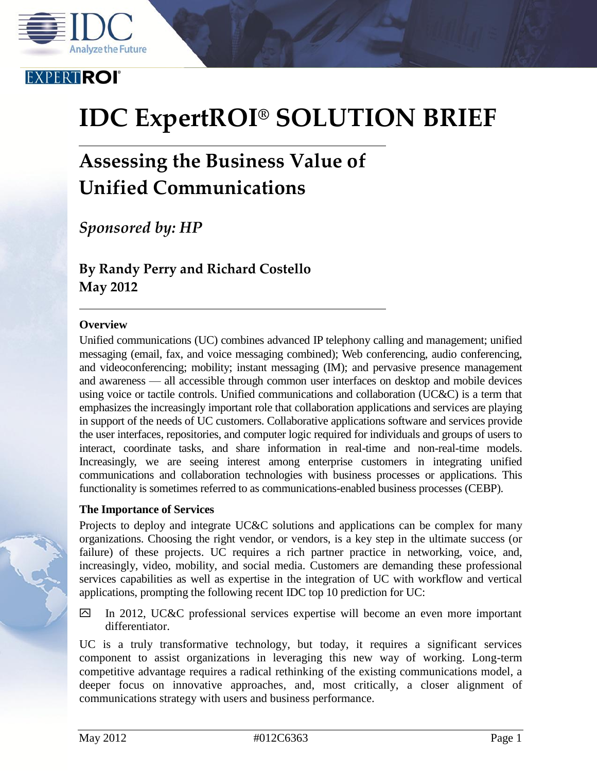

### **EXPERTROI**

# **IDC ExpertROI® SOLUTION BRIEF**

## **Assessing the Business Value of Unified Communications**

*Sponsored by: HP*

**By Randy Perry and Richard Costello May 2012**

#### **Overview**

Unified communications (UC) combines advanced IP telephony calling and management; unified messaging (email, fax, and voice messaging combined); Web conferencing, audio conferencing, and videoconferencing; mobility; instant messaging (IM); and pervasive presence management and awareness — all accessible through common user interfaces on desktop and mobile devices using voice or tactile controls. Unified communications and collaboration  $(UC\&C)$  is a term that emphasizes the increasingly important role that collaboration applications and services are playing in support of the needs of UC customers. Collaborative applications software and services provide the user interfaces, repositories, and computer logic required for individuals and groups of users to interact, coordinate tasks, and share information in real-time and non-real-time models. Increasingly, we are seeing interest among enterprise customers in integrating unified communications and collaboration technologies with business processes or applications. This functionality is sometimes referred to as communications-enabled business processes (CEBP).

#### **The Importance of Services**

Projects to deploy and integrate UC&C solutions and applications can be complex for many organizations. Choosing the right vendor, or vendors, is a key step in the ultimate success (or failure) of these projects. UC requires a rich partner practice in networking, voice, and, increasingly, video, mobility, and social media. Customers are demanding these professional services capabilities as well as expertise in the integration of UC with workflow and vertical applications, prompting the following recent IDC top 10 prediction for UC:

In 2012, UC&C professional services expertise will become an even more important differentiator.

UC is a truly transformative technology, but today, it requires a significant services component to assist organizations in leveraging this new way of working. Long-term competitive advantage requires a radical rethinking of the existing communications model, a deeper focus on innovative approaches, and, most critically, a closer alignment of communications strategy with users and business performance.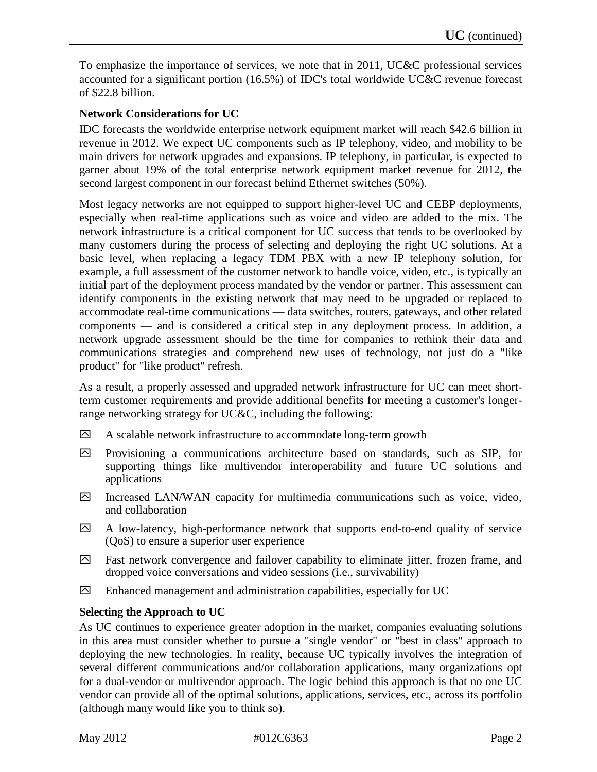To emphasize the importance of services, we note that in 2011, UC&C professional services accounted for a significant portion (16.5%) of IDC's total worldwide UC&C revenue forecast of \$22.8 billion.

#### **Network Considerations for UC**

IDC forecasts the worldwide enterprise network equipment market will reach \$42.6 billion in revenue in 2012. We expect UC components such as IP telephony, video, and mobility to be main drivers for network upgrades and expansions. IP telephony, in particular, is expected to garner about 19% of the total enterprise network equipment market revenue for 2012, the second largest component in our forecast behind Ethernet switches (50%).

Most legacy networks are not equipped to support higher-level UC and CEBP deployments, especially when real-time applications such as voice and video are added to the mix. The network infrastructure is a critical component for UC success that tends to be overlooked by many customers during the process of selecting and deploying the right UC solutions. At a basic level, when replacing a legacy TDM PBX with a new IP telephony solution, for example, a full assessment of the customer network to handle voice, video, etc., is typically an initial part of the deployment process mandated by the vendor or partner. This assessment can identify components in the existing network that may need to be upgraded or replaced to accommodate real-time communications — data switches, routers, gateways, and other related components — and is considered a critical step in any deployment process. In addition, a network upgrade assessment should be the time for companies to rethink their data and communications strategies and comprehend new uses of technology, not just do a "like product" for "like product" refresh.

As a result, a properly assessed and upgraded network infrastructure for UC can meet shortterm customer requirements and provide additional benefits for meeting a customer's longerrange networking strategy for UC&C, including the following:

- $\boxtimes$  A scalable network infrastructure to accommodate long-term growth
- $\boxtimes$  Provisioning a communications architecture based on standards, such as SIP, for supporting things like multivendor interoperability and future UC solutions and applications
- Increased LAN/WAN capacity for multimedia communications such as voice, video, and collaboration
- $\Box$  A low-latency, high-performance network that supports end-to-end quality of service (QoS) to ensure a superior user experience
- Fast network convergence and failover capability to eliminate jitter, frozen frame, and dropped voice conversations and video sessions (i.e., survivability)
- $\boxtimes$  Enhanced management and administration capabilities, especially for UC

#### **Selecting the Approach to UC**

As UC continues to experience greater adoption in the market, companies evaluating solutions in this area must consider whether to pursue a "single vendor" or "best in class" approach to deploying the new technologies. In reality, because UC typically involves the integration of several different communications and/or collaboration applications, many organizations opt for a dual-vendor or multivendor approach. The logic behind this approach is that no one UC vendor can provide all of the optimal solutions, applications, services, etc., across its portfolio (although many would like you to think so).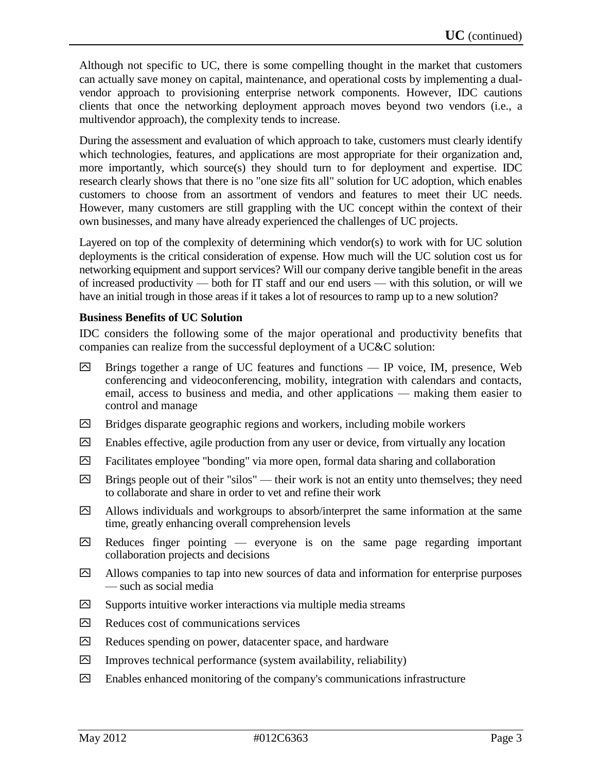Although not specific to UC, there is some compelling thought in the market that customers can actually save money on capital, maintenance, and operational costs by implementing a dualvendor approach to provisioning enterprise network components. However, IDC cautions clients that once the networking deployment approach moves beyond two vendors (i.e., a multivendor approach), the complexity tends to increase.

During the assessment and evaluation of which approach to take, customers must clearly identify which technologies, features, and applications are most appropriate for their organization and, more importantly, which source(s) they should turn to for deployment and expertise. IDC research clearly shows that there is no "one size fits all" solution for UC adoption, which enables customers to choose from an assortment of vendors and features to meet their UC needs. However, many customers are still grappling with the UC concept within the context of their own businesses, and many have already experienced the challenges of UC projects.

Layered on top of the complexity of determining which vendor(s) to work with for UC solution deployments is the critical consideration of expense. How much will the UC solution cost us for networking equipment and support services? Will our company derive tangible benefit in the areas of increased productivity — both for IT staff and our end users — with this solution, or will we have an initial trough in those areas if it takes a lot of resources to ramp up to a new solution?

#### **Business Benefits of UC Solution**

IDC considers the following some of the major operational and productivity benefits that companies can realize from the successful deployment of a UC&C solution:

- $\boxtimes$  Brings together a range of UC features and functions IP voice, IM, presence, Web conferencing and videoconferencing, mobility, integration with calendars and contacts, email, access to business and media, and other applications — making them easier to control and manage
- $\boxtimes$  Bridges disparate geographic regions and workers, including mobile workers
- $\boxtimes$  Enables effective, agile production from any user or device, from virtually any location
- $\boxtimes$  Facilitates employee "bonding" via more open, formal data sharing and collaboration
- $\boxdot$  Brings people out of their "silos" their work is not an entity unto themselves; they need to collaborate and share in order to vet and refine their work
- $\Box$  Allows individuals and workgroups to absorb/interpret the same information at the same time, greatly enhancing overall comprehension levels
- $\boxtimes$  Reduces finger pointing everyone is on the same page regarding important collaboration projects and decisions
- $\boxtimes$  Allows companies to tap into new sources of data and information for enterprise purposes — such as social media
- $\boxtimes$  Supports intuitive worker interactions via multiple media streams
- $\boxtimes$  Reduces cost of communications services
- $\boxtimes$  Reduces spending on power, datacenter space, and hardware
- $\Box$  Improves technical performance (system availability, reliability)
- $\boxtimes$  Enables enhanced monitoring of the company's communications infrastructure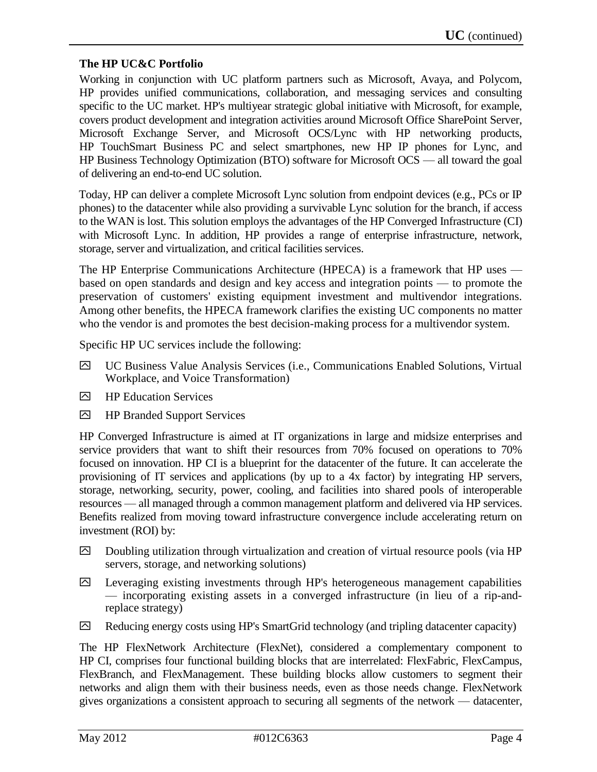#### **The HP UC&C Portfolio**

Working in conjunction with UC platform partners such as Microsoft, Avaya, and Polycom, HP provides unified communications, collaboration, and messaging services and consulting specific to the UC market. HP's multiyear strategic global initiative with Microsoft, for example, covers product development and integration activities around Microsoft Office SharePoint Server, Microsoft Exchange Server, and Microsoft OCS/Lync with HP networking products, HP TouchSmart Business PC and select smartphones, new HP IP phones for Lync, and HP Business Technology Optimization (BTO) software for Microsoft OCS — all toward the goal of delivering an end-to-end UC solution.

Today, HP can deliver a complete Microsoft Lync solution from endpoint devices (e.g., PCs or IP phones) to the datacenter while also providing a survivable Lync solution for the branch, if access to the WAN is lost. This solution employs the advantages of the HP Converged Infrastructure (CI) with Microsoft Lync. In addition, HP provides a range of enterprise infrastructure, network, storage, server and virtualization, and critical facilities services.

The HP Enterprise Communications Architecture (HPECA) is a framework that HP uses based on open standards and design and key access and integration points — to promote the preservation of customers' existing equipment investment and multivendor integrations. Among other benefits, the HPECA framework clarifies the existing UC components no matter who the vendor is and promotes the best decision-making process for a multivendor system.

Specific HP UC services include the following:

- UC Business Value Analysis Services (i.e., Communications Enabled Solutions, Virtual Workplace, and Voice Transformation)
- $\Box$  HP Education Services
- $\Box$  HP Branded Support Services

HP Converged Infrastructure is aimed at IT organizations in large and midsize enterprises and service providers that want to shift their resources from 70% focused on operations to 70% focused on innovation. HP CI is a blueprint for the datacenter of the future. It can accelerate the provisioning of IT services and applications (by up to a 4x factor) by integrating HP servers, storage, networking, security, power, cooling, and facilities into shared pools of interoperable resources — all managed through a common management platform and delivered via HP services. Benefits realized from moving toward infrastructure convergence include accelerating return on investment (ROI) by:

- $\boxtimes$  Doubling utilization through virtualization and creation of virtual resource pools (via HP servers, storage, and networking solutions)
- $\boxdot$  Leveraging existing investments through HP's heterogeneous management capabilities — incorporating existing assets in a converged infrastructure (in lieu of a rip-andreplace strategy)
- $\boxtimes$  Reducing energy costs using HP's SmartGrid technology (and tripling datacenter capacity)

The HP FlexNetwork Architecture (FlexNet), considered a complementary component to HP CI, comprises four functional building blocks that are interrelated: FlexFabric, FlexCampus, FlexBranch, and FlexManagement. These building blocks allow customers to segment their networks and align them with their business needs, even as those needs change. FlexNetwork gives organizations a consistent approach to securing all segments of the network — datacenter,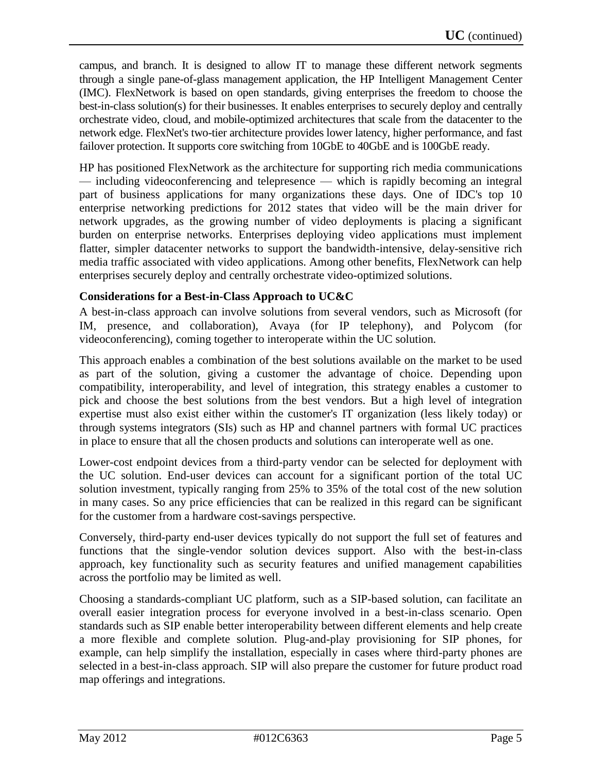campus, and branch. It is designed to allow IT to manage these different network segments through a single pane-of-glass management application, the HP Intelligent Management Center (IMC). FlexNetwork is based on open standards, giving enterprises the freedom to choose the best-in-class solution(s) for their businesses. It enables enterprises to securely deploy and centrally orchestrate video, cloud, and mobile-optimized architectures that scale from the datacenter to the network edge. FlexNet's two-tier architecture provides lower latency, higher performance, and fast failover protection. It supports core switching from 10GbE to 40GbE and is 100GbE ready.

HP has positioned FlexNetwork as the architecture for supporting rich media communications — including videoconferencing and telepresence — which is rapidly becoming an integral part of business applications for many organizations these days. One of IDC's top 10 enterprise networking predictions for 2012 states that video will be the main driver for network upgrades, as the growing number of video deployments is placing a significant burden on enterprise networks. Enterprises deploying video applications must implement flatter, simpler datacenter networks to support the bandwidth-intensive, delay-sensitive rich media traffic associated with video applications. Among other benefits, FlexNetwork can help enterprises securely deploy and centrally orchestrate video-optimized solutions.

#### **Considerations for a Best-in-Class Approach to UC&C**

A best-in-class approach can involve solutions from several vendors, such as Microsoft (for IM, presence, and collaboration), Avaya (for IP telephony), and Polycom (for videoconferencing), coming together to interoperate within the UC solution.

This approach enables a combination of the best solutions available on the market to be used as part of the solution, giving a customer the advantage of choice. Depending upon compatibility, interoperability, and level of integration, this strategy enables a customer to pick and choose the best solutions from the best vendors. But a high level of integration expertise must also exist either within the customer's IT organization (less likely today) or through systems integrators (SIs) such as HP and channel partners with formal UC practices in place to ensure that all the chosen products and solutions can interoperate well as one.

Lower-cost endpoint devices from a third-party vendor can be selected for deployment with the UC solution. End-user devices can account for a significant portion of the total UC solution investment, typically ranging from 25% to 35% of the total cost of the new solution in many cases. So any price efficiencies that can be realized in this regard can be significant for the customer from a hardware cost-savings perspective.

Conversely, third-party end-user devices typically do not support the full set of features and functions that the single-vendor solution devices support. Also with the best-in-class approach, key functionality such as security features and unified management capabilities across the portfolio may be limited as well.

Choosing a standards-compliant UC platform, such as a SIP-based solution, can facilitate an overall easier integration process for everyone involved in a best-in-class scenario. Open standards such as SIP enable better interoperability between different elements and help create a more flexible and complete solution. Plug-and-play provisioning for SIP phones, for example, can help simplify the installation, especially in cases where third-party phones are selected in a best-in-class approach. SIP will also prepare the customer for future product road map offerings and integrations.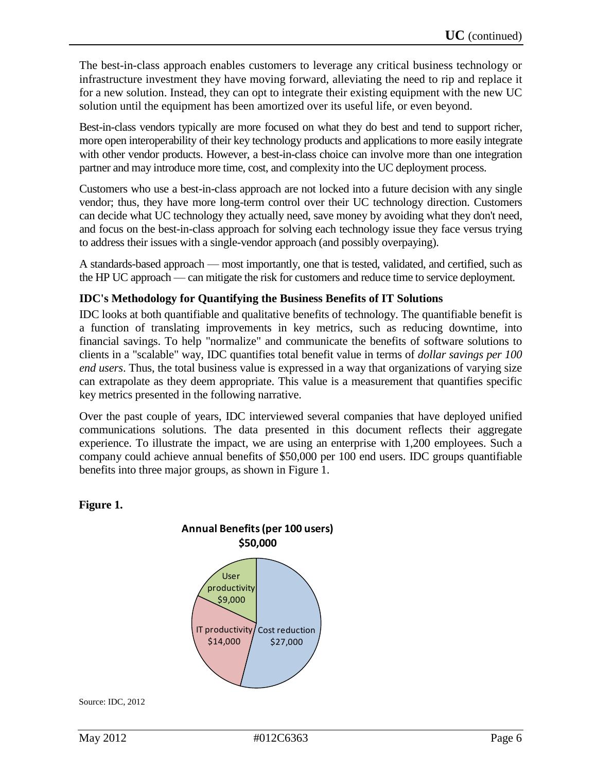The best-in-class approach enables customers to leverage any critical business technology or infrastructure investment they have moving forward, alleviating the need to rip and replace it for a new solution. Instead, they can opt to integrate their existing equipment with the new UC solution until the equipment has been amortized over its useful life, or even beyond.

Best-in-class vendors typically are more focused on what they do best and tend to support richer, more open interoperability of their key technology products and applications to more easily integrate with other vendor products. However, a best-in-class choice can involve more than one integration partner and may introduce more time, cost, and complexity into the UC deployment process.

Customers who use a best-in-class approach are not locked into a future decision with any single vendor; thus, they have more long-term control over their UC technology direction. Customers can decide what UC technology they actually need, save money by avoiding what they don't need, and focus on the best-in-class approach for solving each technology issue they face versus trying to address their issues with a single-vendor approach (and possibly overpaying).

A standards-based approach — most importantly, one that is tested, validated, and certified, such as the HP UC approach — can mitigate the risk for customers and reduce time to service deployment.

#### **IDC's Methodology for Quantifying the Business Benefits of IT Solutions**

IDC looks at both quantifiable and qualitative benefits of technology. The quantifiable benefit is a function of translating improvements in key metrics, such as reducing downtime, into financial savings. To help "normalize" and communicate the benefits of software solutions to clients in a "scalable" way, IDC quantifies total benefit value in terms of *dollar savings per 100 end users*. Thus, the total business value is expressed in a way that organizations of varying size can extrapolate as they deem appropriate. This value is a measurement that quantifies specific key metrics presented in the following narrative.

Over the past couple of years, IDC interviewed several companies that have deployed unified communications solutions. The data presented in this document reflects their aggregate experience. To illustrate the impact, we are using an enterprise with 1,200 employees. Such a company could achieve annual benefits of \$50,000 per 100 end users. IDC groups quantifiable benefits into three major groups, as shown in Figure 1.

#### **Figure 1.**



Source: IDC, 2012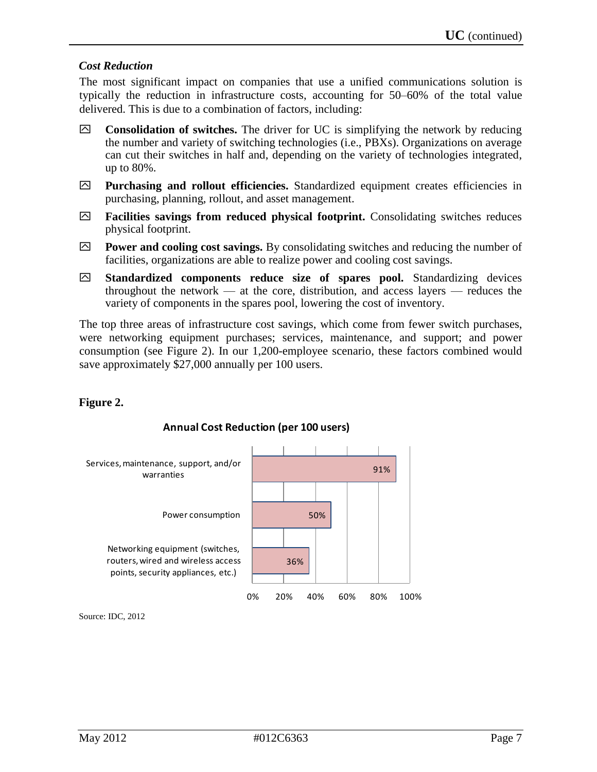#### *Cost Reduction*

The most significant impact on companies that use a unified communications solution is typically the reduction in infrastructure costs, accounting for 50–60% of the total value delivered. This is due to a combination of factors, including:

- **Consolidation of switches.** The driver for UC is simplifying the network by reducing the number and variety of switching technologies (i.e., PBXs). Organizations on average can cut their switches in half and, depending on the variety of technologies integrated, up to 80%.
- **Purchasing and rollout efficiencies.** Standardized equipment creates efficiencies in purchasing, planning, rollout, and asset management.
- **Facilities savings from reduced physical footprint.** Consolidating switches reduces physical footprint.
- **Power and cooling cost savings.** By consolidating switches and reducing the number of facilities, organizations are able to realize power and cooling cost savings.
- **Standardized components reduce size of spares pool.** Standardizing devices throughout the network — at the core, distribution, and access layers — reduces the variety of components in the spares pool, lowering the cost of inventory.

The top three areas of infrastructure cost savings, which come from fewer switch purchases, were networking equipment purchases; services, maintenance, and support; and power consumption (see Figure 2). In our 1,200-employee scenario, these factors combined would save approximately \$27,000 annually per 100 users.

#### **Figure 2.**



#### **Annual Cost Reduction (per 100 users)**

Source: IDC, 2012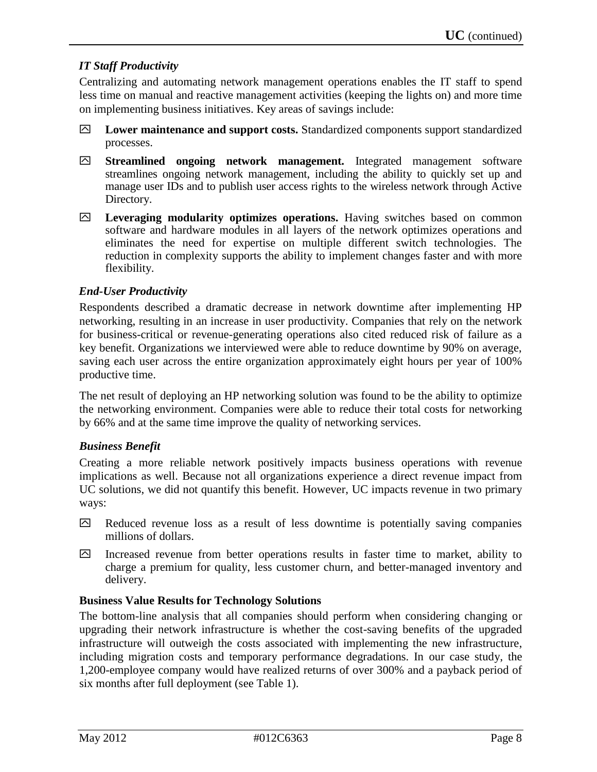#### *IT Staff Productivity*

Centralizing and automating network management operations enables the IT staff to spend less time on manual and reactive management activities (keeping the lights on) and more time on implementing business initiatives. Key areas of savings include:

- **Lower maintenance and support costs.** Standardized components support standardized processes.
- **Streamlined ongoing network management.** Integrated management software streamlines ongoing network management, including the ability to quickly set up and manage user IDs and to publish user access rights to the wireless network through Active Directory.
- **Leveraging modularity optimizes operations.** Having switches based on common software and hardware modules in all layers of the network optimizes operations and eliminates the need for expertise on multiple different switch technologies. The reduction in complexity supports the ability to implement changes faster and with more flexibility.

#### *End-User Productivity*

Respondents described a dramatic decrease in network downtime after implementing HP networking, resulting in an increase in user productivity. Companies that rely on the network for business-critical or revenue-generating operations also cited reduced risk of failure as a key benefit. Organizations we interviewed were able to reduce downtime by 90% on average, saving each user across the entire organization approximately eight hours per year of 100% productive time.

The net result of deploying an HP networking solution was found to be the ability to optimize the networking environment. Companies were able to reduce their total costs for networking by 66% and at the same time improve the quality of networking services.

#### *Business Benefit*

Creating a more reliable network positively impacts business operations with revenue implications as well. Because not all organizations experience a direct revenue impact from UC solutions, we did not quantify this benefit. However, UC impacts revenue in two primary ways:

- $\boxtimes$  Reduced revenue loss as a result of less downtime is potentially saving companies millions of dollars.
- Increased revenue from better operations results in faster time to market, ability to charge a premium for quality, less customer churn, and better-managed inventory and delivery.

#### **Business Value Results for Technology Solutions**

The bottom-line analysis that all companies should perform when considering changing or upgrading their network infrastructure is whether the cost-saving benefits of the upgraded infrastructure will outweigh the costs associated with implementing the new infrastructure, including migration costs and temporary performance degradations. In our case study, the 1,200-employee company would have realized returns of over 300% and a payback period of six months after full deployment (see Table 1).